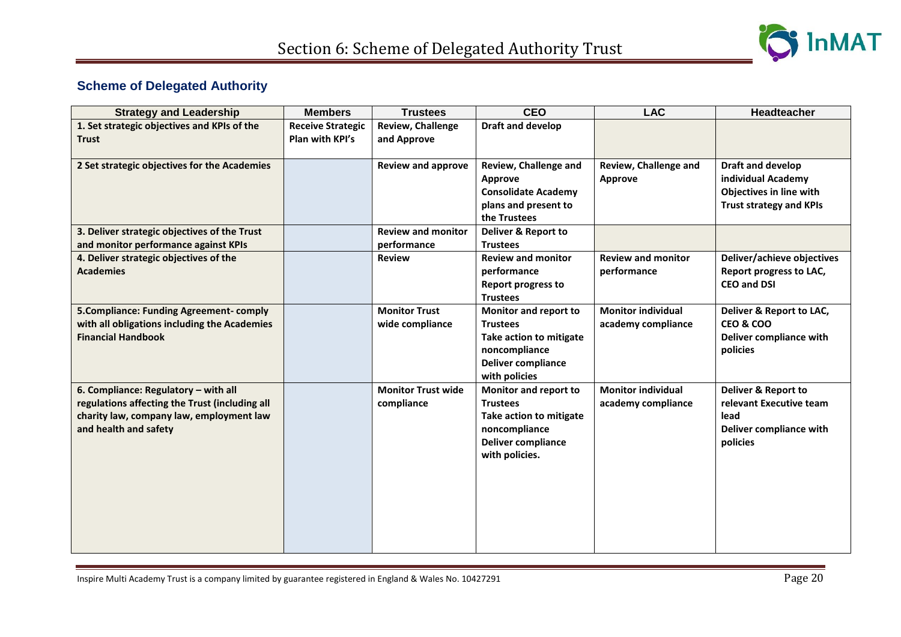

## **Scheme of Delegated Authority**

| <b>Strategy and Leadership</b>                 | <b>Members</b>           | <b>Trustees</b>           | <b>CEO</b>                 | <b>LAC</b>                | <b>Headteacher</b>             |
|------------------------------------------------|--------------------------|---------------------------|----------------------------|---------------------------|--------------------------------|
| 1. Set strategic objectives and KPIs of the    | <b>Receive Strategic</b> | <b>Review, Challenge</b>  | <b>Draft and develop</b>   |                           |                                |
| <b>Trust</b>                                   | Plan with KPI's          | and Approve               |                            |                           |                                |
| 2 Set strategic objectives for the Academies   |                          | <b>Review and approve</b> | Review, Challenge and      | Review, Challenge and     | Draft and develop              |
|                                                |                          |                           | Approve                    | Approve                   | individual Academy             |
|                                                |                          |                           | <b>Consolidate Academy</b> |                           | Objectives in line with        |
|                                                |                          |                           | plans and present to       |                           | <b>Trust strategy and KPIs</b> |
|                                                |                          |                           | the Trustees               |                           |                                |
| 3. Deliver strategic objectives of the Trust   |                          | <b>Review and monitor</b> | Deliver & Report to        |                           |                                |
| and monitor performance against KPIs           |                          | performance               | <b>Trustees</b>            |                           |                                |
| 4. Deliver strategic objectives of the         |                          | <b>Review</b>             | <b>Review and monitor</b>  | <b>Review and monitor</b> | Deliver/achieve objectives     |
| <b>Academies</b>                               |                          |                           | performance                | performance               | Report progress to LAC,        |
|                                                |                          |                           | <b>Report progress to</b>  |                           | <b>CEO and DSI</b>             |
|                                                |                          |                           | <b>Trustees</b>            |                           |                                |
| <b>5. Compliance: Funding Agreement-comply</b> |                          | <b>Monitor Trust</b>      | Monitor and report to      | <b>Monitor individual</b> | Deliver & Report to LAC,       |
| with all obligations including the Academies   |                          | wide compliance           | <b>Trustees</b>            | academy compliance        | <b>CEO &amp; COO</b>           |
| <b>Financial Handbook</b>                      |                          |                           | Take action to mitigate    |                           | Deliver compliance with        |
|                                                |                          |                           | noncompliance              |                           | policies                       |
|                                                |                          |                           | <b>Deliver compliance</b>  |                           |                                |
|                                                |                          |                           | with policies              |                           |                                |
| 6. Compliance: Regulatory - with all           |                          | <b>Monitor Trust wide</b> | Monitor and report to      | <b>Monitor individual</b> | Deliver & Report to            |
| regulations affecting the Trust (including all |                          | compliance                | <b>Trustees</b>            | academy compliance        | relevant Executive team        |
| charity law, company law, employment law       |                          |                           | Take action to mitigate    |                           | lead                           |
| and health and safety                          |                          |                           | noncompliance              |                           | Deliver compliance with        |
|                                                |                          |                           | <b>Deliver compliance</b>  |                           | policies                       |
|                                                |                          |                           | with policies.             |                           |                                |
|                                                |                          |                           |                            |                           |                                |
|                                                |                          |                           |                            |                           |                                |
|                                                |                          |                           |                            |                           |                                |
|                                                |                          |                           |                            |                           |                                |
|                                                |                          |                           |                            |                           |                                |
|                                                |                          |                           |                            |                           |                                |
|                                                |                          |                           |                            |                           |                                |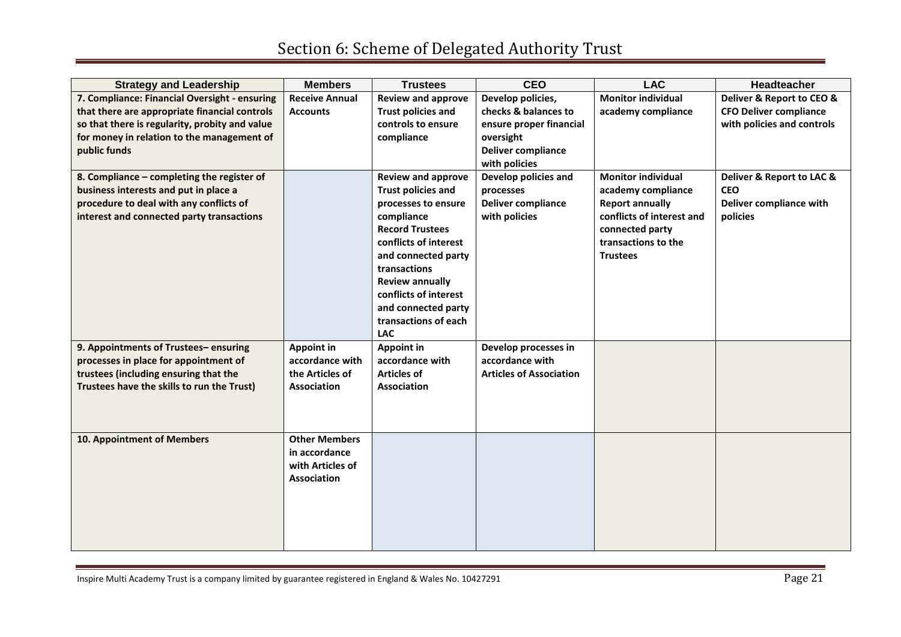| <b>Strategy and Leadership</b>                 | <b>Members</b>        | <b>Trustees</b>                    | <b>CEO</b>                     | <b>LAC</b>                | <b>Headteacher</b>            |
|------------------------------------------------|-----------------------|------------------------------------|--------------------------------|---------------------------|-------------------------------|
| 7. Compliance: Financial Oversight - ensuring  | <b>Receive Annual</b> | <b>Review and approve</b>          | Develop policies,              | <b>Monitor individual</b> | Deliver & Report to CEO &     |
| that there are appropriate financial controls  | <b>Accounts</b>       | <b>Trust policies and</b>          | checks & balances to           | academy compliance        | <b>CFO Deliver compliance</b> |
| so that there is regularity, probity and value |                       | controls to ensure                 | ensure proper financial        |                           | with policies and controls    |
| for money in relation to the management of     |                       | compliance                         | oversight                      |                           |                               |
| public funds                                   |                       |                                    | <b>Deliver compliance</b>      |                           |                               |
|                                                |                       |                                    | with policies                  |                           |                               |
| 8. Compliance - completing the register of     |                       | <b>Review and approve</b>          | Develop policies and           | <b>Monitor individual</b> | Deliver & Report to LAC &     |
| business interests and put in place a          |                       | <b>Trust policies and</b>          | processes                      | academy compliance        | <b>CEO</b>                    |
| procedure to deal with any conflicts of        |                       | processes to ensure                | <b>Deliver compliance</b>      | <b>Report annually</b>    | Deliver compliance with       |
| interest and connected party transactions      |                       | compliance                         | with policies                  | conflicts of interest and | policies                      |
|                                                |                       | <b>Record Trustees</b>             |                                | connected party           |                               |
|                                                |                       | conflicts of interest              |                                | transactions to the       |                               |
|                                                |                       | and connected party                |                                | <b>Trustees</b>           |                               |
|                                                |                       | transactions                       |                                |                           |                               |
|                                                |                       | <b>Review annually</b>             |                                |                           |                               |
|                                                |                       | conflicts of interest              |                                |                           |                               |
|                                                |                       | and connected party                |                                |                           |                               |
|                                                |                       | transactions of each<br><b>LAC</b> |                                |                           |                               |
| 9. Appointments of Trustees-ensuring           | Appoint in            | <b>Appoint in</b>                  | Develop processes in           |                           |                               |
| processes in place for appointment of          | accordance with       | accordance with                    | accordance with                |                           |                               |
| trustees (including ensuring that the          | the Articles of       | <b>Articles of</b>                 | <b>Articles of Association</b> |                           |                               |
| Trustees have the skills to run the Trust)     | <b>Association</b>    | <b>Association</b>                 |                                |                           |                               |
|                                                |                       |                                    |                                |                           |                               |
|                                                |                       |                                    |                                |                           |                               |
|                                                |                       |                                    |                                |                           |                               |
| 10. Appointment of Members                     | <b>Other Members</b>  |                                    |                                |                           |                               |
|                                                | in accordance         |                                    |                                |                           |                               |
|                                                | with Articles of      |                                    |                                |                           |                               |
|                                                | Association           |                                    |                                |                           |                               |
|                                                |                       |                                    |                                |                           |                               |
|                                                |                       |                                    |                                |                           |                               |
|                                                |                       |                                    |                                |                           |                               |
|                                                |                       |                                    |                                |                           |                               |
|                                                |                       |                                    |                                |                           |                               |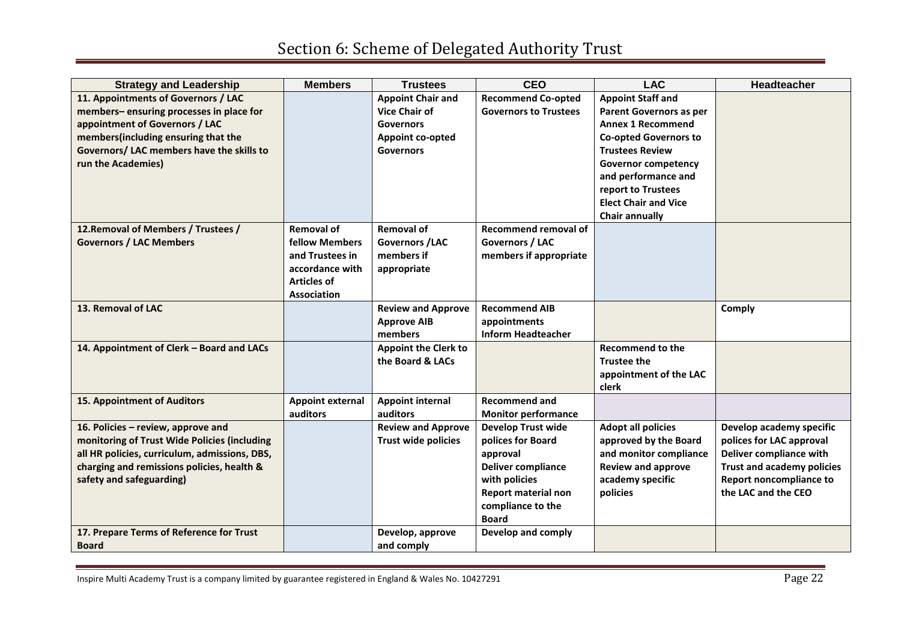| <b>Strategy and Leadership</b>                | <b>Members</b>          | <b>Trustees</b>             | <b>CEO</b>                   | <b>LAC</b>                   | <b>Headteacher</b>                |
|-----------------------------------------------|-------------------------|-----------------------------|------------------------------|------------------------------|-----------------------------------|
| 11. Appointments of Governors / LAC           |                         | <b>Appoint Chair and</b>    | <b>Recommend Co-opted</b>    | <b>Appoint Staff and</b>     |                                   |
| members-ensuring processes in place for       |                         | <b>Vice Chair of</b>        | <b>Governors to Trustees</b> | Parent Governors as per      |                                   |
| appointment of Governors / LAC                |                         | <b>Governors</b>            |                              | <b>Annex 1 Recommend</b>     |                                   |
| members(including ensuring that the           |                         | Appoint co-opted            |                              | <b>Co-opted Governors to</b> |                                   |
| Governors/ LAC members have the skills to     |                         | <b>Governors</b>            |                              | <b>Trustees Review</b>       |                                   |
| run the Academies)                            |                         |                             |                              | <b>Governor competency</b>   |                                   |
|                                               |                         |                             |                              | and performance and          |                                   |
|                                               |                         |                             |                              | report to Trustees           |                                   |
|                                               |                         |                             |                              | <b>Elect Chair and Vice</b>  |                                   |
|                                               |                         |                             |                              | <b>Chair annually</b>        |                                   |
| 12. Removal of Members / Trustees /           | <b>Removal of</b>       | <b>Removal of</b>           | Recommend removal of         |                              |                                   |
| <b>Governors / LAC Members</b>                | <b>fellow Members</b>   | Governors / LAC             | Governors / LAC              |                              |                                   |
|                                               | and Trustees in         | members if                  | members if appropriate       |                              |                                   |
|                                               | accordance with         | appropriate                 |                              |                              |                                   |
|                                               | <b>Articles of</b>      |                             |                              |                              |                                   |
|                                               | Association             |                             |                              |                              |                                   |
| 13. Removal of LAC                            |                         | <b>Review and Approve</b>   | <b>Recommend AIB</b>         |                              | Comply                            |
|                                               |                         | <b>Approve AIB</b>          | appointments                 |                              |                                   |
|                                               |                         | members                     | <b>Inform Headteacher</b>    |                              |                                   |
| 14. Appointment of Clerk - Board and LACs     |                         | <b>Appoint the Clerk to</b> |                              | <b>Recommend to the</b>      |                                   |
|                                               |                         | the Board & LACs            |                              | <b>Trustee the</b>           |                                   |
|                                               |                         |                             |                              | appointment of the LAC       |                                   |
|                                               |                         |                             |                              | clerk                        |                                   |
| <b>15. Appointment of Auditors</b>            | <b>Appoint external</b> | <b>Appoint internal</b>     | <b>Recommend and</b>         |                              |                                   |
|                                               | auditors                | auditors                    | <b>Monitor performance</b>   |                              |                                   |
| 16. Policies - review, approve and            |                         | <b>Review and Approve</b>   | <b>Develop Trust wide</b>    | <b>Adopt all policies</b>    | Develop academy specific          |
| monitoring of Trust Wide Policies (including  |                         | <b>Trust wide policies</b>  | polices for Board            | approved by the Board        | polices for LAC approval          |
| all HR policies, curriculum, admissions, DBS, |                         |                             | approval                     | and monitor compliance       | Deliver compliance with           |
| charging and remissions policies, health &    |                         |                             | <b>Deliver compliance</b>    | <b>Review and approve</b>    | <b>Trust and academy policies</b> |
| safety and safeguarding)                      |                         |                             | with policies                | academy specific             | Report noncompliance to           |
|                                               |                         |                             | <b>Report material non</b>   | policies                     | the LAC and the CEO               |
|                                               |                         |                             | compliance to the            |                              |                                   |
|                                               |                         |                             | <b>Board</b>                 |                              |                                   |
| 17. Prepare Terms of Reference for Trust      |                         | Develop, approve            | Develop and comply           |                              |                                   |
| <b>Board</b>                                  |                         | and comply                  |                              |                              |                                   |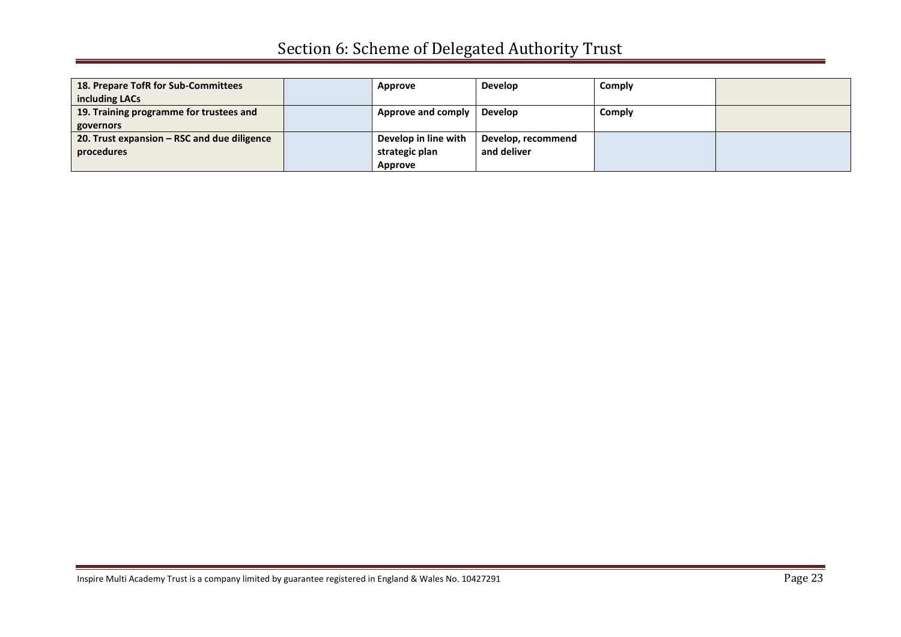| 18. Prepare TofR for Sub-Committees         | Approve                      | <b>Develop</b>     | Comply |  |
|---------------------------------------------|------------------------------|--------------------|--------|--|
| including LACs                              |                              |                    |        |  |
| 19. Training programme for trustees and     | Approve and comply   Develop |                    | Comply |  |
| governors                                   |                              |                    |        |  |
| 20. Trust expansion – RSC and due diligence | Develop in line with         | Develop, recommend |        |  |
| procedures                                  | strategic plan               | and deliver        |        |  |
|                                             | Approve                      |                    |        |  |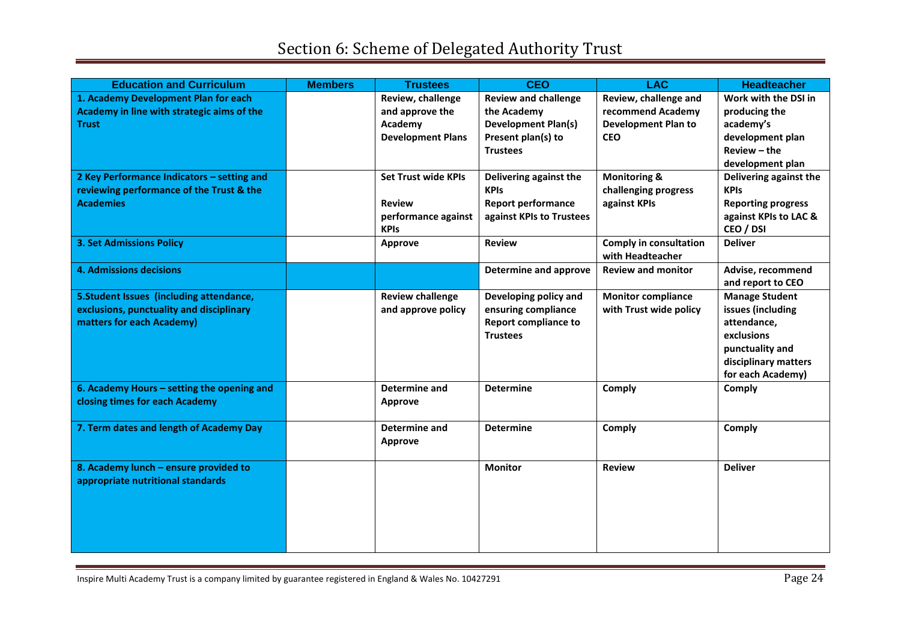| <b>Education and Curriculum</b>            | <b>Members</b> | <b>Trustees</b>            | <b>CEO</b>                   | <b>LAC</b>                    | <b>Headteacher</b>        |
|--------------------------------------------|----------------|----------------------------|------------------------------|-------------------------------|---------------------------|
| 1. Academy Development Plan for each       |                | Review, challenge          | <b>Review and challenge</b>  | Review, challenge and         | Work with the DSI in      |
| Academy in line with strategic aims of the |                | and approve the            | the Academy                  | recommend Academy             | producing the             |
| <b>Trust</b>                               |                | Academy                    | <b>Development Plan(s)</b>   | <b>Development Plan to</b>    | academy's                 |
|                                            |                | <b>Development Plans</b>   | Present plan(s) to           | <b>CEO</b>                    | development plan          |
|                                            |                |                            | <b>Trustees</b>              |                               | $Review - the$            |
|                                            |                |                            |                              |                               | development plan          |
| 2 Key Performance Indicators - setting and |                | <b>Set Trust wide KPIs</b> | Delivering against the       | <b>Monitoring &amp;</b>       | Delivering against the    |
| reviewing performance of the Trust & the   |                |                            | <b>KPIs</b>                  | challenging progress          | <b>KPIs</b>               |
| <b>Academies</b>                           |                | <b>Review</b>              | <b>Report performance</b>    | against KPIs                  | <b>Reporting progress</b> |
|                                            |                | performance against        | against KPIs to Trustees     |                               | against KPIs to LAC &     |
|                                            |                | <b>KPIs</b>                |                              |                               | CEO / DSI                 |
| <b>3. Set Admissions Policy</b>            |                | Approve                    | <b>Review</b>                | <b>Comply in consultation</b> | <b>Deliver</b>            |
|                                            |                |                            |                              | with Headteacher              |                           |
| <b>4. Admissions decisions</b>             |                |                            | <b>Determine and approve</b> | <b>Review and monitor</b>     | Advise, recommend         |
|                                            |                |                            |                              |                               | and report to CEO         |
| 5. Student Issues (including attendance,   |                | <b>Review challenge</b>    | Developing policy and        | <b>Monitor compliance</b>     | <b>Manage Student</b>     |
| exclusions, punctuality and disciplinary   |                | and approve policy         | ensuring compliance          | with Trust wide policy        | issues (including         |
| matters for each Academy)                  |                |                            | <b>Report compliance to</b>  |                               | attendance,               |
|                                            |                |                            | <b>Trustees</b>              |                               | exclusions                |
|                                            |                |                            |                              |                               | punctuality and           |
|                                            |                |                            |                              |                               | disciplinary matters      |
|                                            |                |                            |                              |                               | for each Academy)         |
| 6. Academy Hours - setting the opening and |                | Determine and              | <b>Determine</b>             | Comply                        | Comply                    |
| closing times for each Academy             |                | <b>Approve</b>             |                              |                               |                           |
|                                            |                |                            |                              |                               |                           |
| 7. Term dates and length of Academy Day    |                | Determine and              | <b>Determine</b>             | Comply                        | Comply                    |
|                                            |                | <b>Approve</b>             |                              |                               |                           |
|                                            |                |                            |                              |                               |                           |
| 8. Academy lunch - ensure provided to      |                |                            | <b>Monitor</b>               | <b>Review</b>                 | <b>Deliver</b>            |
| appropriate nutritional standards          |                |                            |                              |                               |                           |
|                                            |                |                            |                              |                               |                           |
|                                            |                |                            |                              |                               |                           |
|                                            |                |                            |                              |                               |                           |
|                                            |                |                            |                              |                               |                           |
|                                            |                |                            |                              |                               |                           |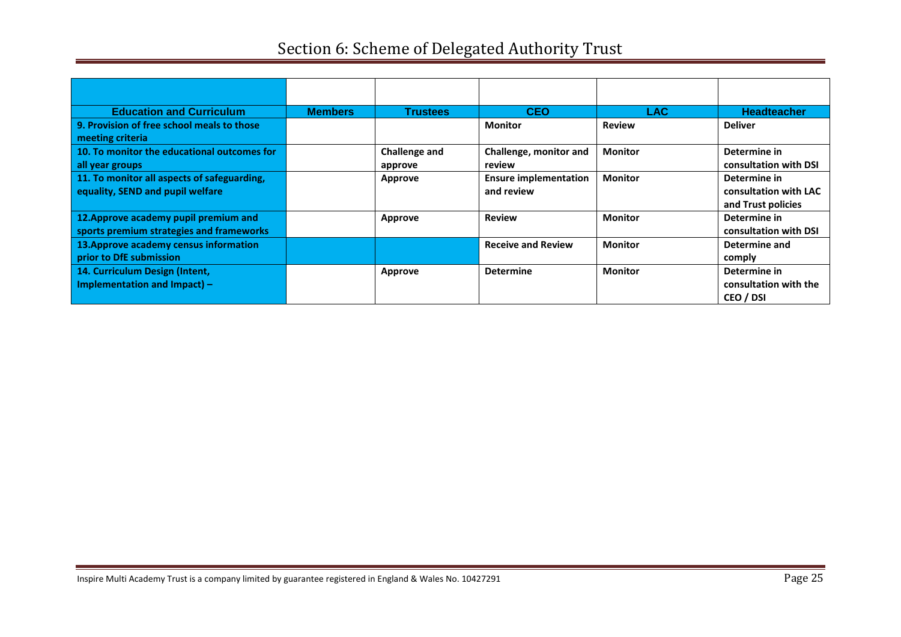| <b>Education and Curriculum</b>             | <b>Members</b> | <b>Trustees</b>      | <b>CEO</b>                   | LAC            | <b>Headteacher</b>    |
|---------------------------------------------|----------------|----------------------|------------------------------|----------------|-----------------------|
| 9. Provision of free school meals to those  |                |                      | Monitor                      | <b>Review</b>  | <b>Deliver</b>        |
| meeting criteria                            |                |                      |                              |                |                       |
| 10. To monitor the educational outcomes for |                | <b>Challenge and</b> | Challenge, monitor and       | <b>Monitor</b> | Determine in          |
| all year groups                             |                | approve              | review                       |                | consultation with DSI |
| 11. To monitor all aspects of safeguarding, |                | Approve              | <b>Ensure implementation</b> | <b>Monitor</b> | Determine in          |
| equality, SEND and pupil welfare            |                |                      | and review                   |                | consultation with LAC |
|                                             |                |                      |                              |                | and Trust policies    |
| 12. Approve academy pupil premium and       |                | Approve              | <b>Review</b>                | <b>Monitor</b> | Determine in          |
| sports premium strategies and frameworks    |                |                      |                              |                | consultation with DSI |
| 13. Approve academy census information      |                |                      | <b>Receive and Review</b>    | <b>Monitor</b> | Determine and         |
| prior to DfE submission                     |                |                      |                              |                | comply                |
| 14. Curriculum Design (Intent,              |                | Approve              | <b>Determine</b>             | <b>Monitor</b> | Determine in          |
| Implementation and Impact) -                |                |                      |                              |                | consultation with the |
|                                             |                |                      |                              |                | CEO / DSI             |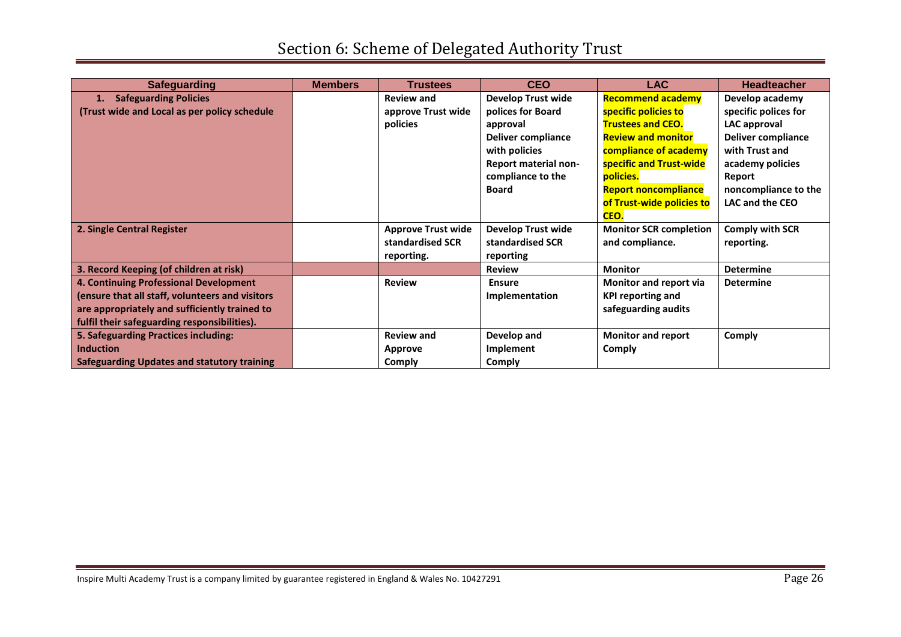| <b>Safeguarding</b>                                | <b>Members</b> | <b>Trustees</b>           | <b>CEO</b>                  | <b>LAC</b>                    | <b>Headteacher</b>     |
|----------------------------------------------------|----------------|---------------------------|-----------------------------|-------------------------------|------------------------|
| <b>Safeguarding Policies</b>                       |                | <b>Review and</b>         | <b>Develop Trust wide</b>   | <b>Recommend academy</b>      | Develop academy        |
| (Trust wide and Local as per policy schedule       |                | approve Trust wide        | polices for Board           | specific policies to          | specific polices for   |
|                                                    |                | policies                  | approval                    | <b>Trustees and CEO.</b>      | LAC approval           |
|                                                    |                |                           | Deliver compliance          | <b>Review and monitor</b>     | Deliver compliance     |
|                                                    |                |                           | with policies               | compliance of academy         | with Trust and         |
|                                                    |                |                           | <b>Report material non-</b> | specific and Trust-wide       | academy policies       |
|                                                    |                |                           | compliance to the           | policies.                     | Report                 |
|                                                    |                |                           | <b>Board</b>                | <b>Report noncompliance</b>   | noncompliance to the   |
|                                                    |                |                           |                             | of Trust-wide policies to     | LAC and the CEO        |
|                                                    |                |                           |                             | CEO.                          |                        |
| 2. Single Central Register                         |                | <b>Approve Trust wide</b> | <b>Develop Trust wide</b>   | <b>Monitor SCR completion</b> | <b>Comply with SCR</b> |
|                                                    |                | standardised SCR          | standardised SCR            | and compliance.               | reporting.             |
|                                                    |                | reporting.                | reporting                   |                               |                        |
| 3. Record Keeping (of children at risk)            |                |                           | <b>Review</b>               | <b>Monitor</b>                | <b>Determine</b>       |
| 4. Continuing Professional Development             |                | <b>Review</b>             | <b>Ensure</b>               | Monitor and report via        | <b>Determine</b>       |
| (ensure that all staff, volunteers and visitors    |                |                           | Implementation              | <b>KPI reporting and</b>      |                        |
| are appropriately and sufficiently trained to      |                |                           |                             | safeguarding audits           |                        |
| fulfil their safeguarding responsibilities).       |                |                           |                             |                               |                        |
| 5. Safeguarding Practices including:               |                | <b>Review and</b>         | Develop and                 | <b>Monitor and report</b>     | <b>Comply</b>          |
| <b>Induction</b>                                   |                | Approve                   | Implement                   | <b>Comply</b>                 |                        |
| <b>Safeguarding Updates and statutory training</b> |                | Comply                    | Comply                      |                               |                        |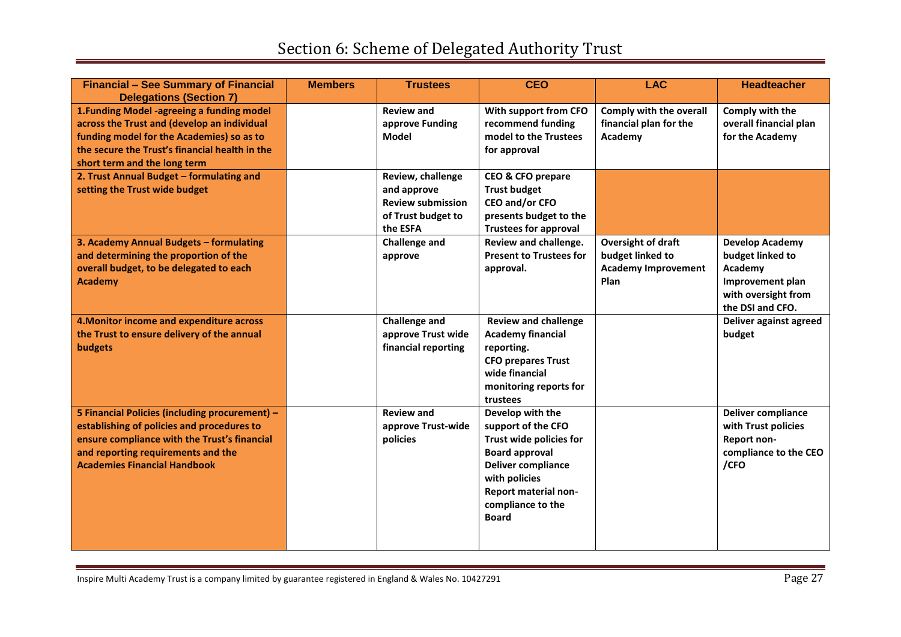| <b>Financial - See Summary of Financial</b><br><b>Delegations (Section 7)</b>                                                                                                                                             | <b>Members</b> | <b>Trustees</b>                                                                                | <b>CEO</b>                                                                                                                                                                                            | <b>LAC</b>                                                                          | <b>Headteacher</b>                                                                                                   |
|---------------------------------------------------------------------------------------------------------------------------------------------------------------------------------------------------------------------------|----------------|------------------------------------------------------------------------------------------------|-------------------------------------------------------------------------------------------------------------------------------------------------------------------------------------------------------|-------------------------------------------------------------------------------------|----------------------------------------------------------------------------------------------------------------------|
| 1. Funding Model -agreeing a funding model<br>across the Trust and (develop an individual<br>funding model for the Academies) so as to<br>the secure the Trust's financial health in the<br>short term and the long term  |                | <b>Review and</b><br>approve Funding<br>Model                                                  | With support from CFO<br>recommend funding<br>model to the Trustees<br>for approval                                                                                                                   | Comply with the overall<br>financial plan for the<br>Academy                        | Comply with the<br>overall financial plan<br>for the Academy                                                         |
| 2. Trust Annual Budget - formulating and<br>setting the Trust wide budget                                                                                                                                                 |                | Review, challenge<br>and approve<br><b>Review submission</b><br>of Trust budget to<br>the ESFA | CEO & CFO prepare<br><b>Trust budget</b><br>CEO and/or CFO<br>presents budget to the<br><b>Trustees for approval</b>                                                                                  |                                                                                     |                                                                                                                      |
| 3. Academy Annual Budgets - formulating<br>and determining the proportion of the<br>overall budget, to be delegated to each<br><b>Academy</b>                                                                             |                | <b>Challenge and</b><br>approve                                                                | Review and challenge.<br><b>Present to Trustees for</b><br>approval.                                                                                                                                  | <b>Oversight of draft</b><br>budget linked to<br><b>Academy Improvement</b><br>Plan | <b>Develop Academy</b><br>budget linked to<br>Academy<br>Improvement plan<br>with oversight from<br>the DSI and CFO. |
| 4. Monitor income and expenditure across<br>the Trust to ensure delivery of the annual<br>budgets                                                                                                                         |                | <b>Challenge and</b><br>approve Trust wide<br>financial reporting                              | <b>Review and challenge</b><br><b>Academy financial</b><br>reporting.<br><b>CFO prepares Trust</b><br>wide financial<br>monitoring reports for<br>trustees                                            |                                                                                     | Deliver against agreed<br>budget                                                                                     |
| 5 Financial Policies (including procurement) -<br>establishing of policies and procedures to<br>ensure compliance with the Trust's financial<br>and reporting requirements and the<br><b>Academies Financial Handbook</b> |                | <b>Review and</b><br>approve Trust-wide<br>policies                                            | Develop with the<br>support of the CFO<br>Trust wide policies for<br><b>Board approval</b><br><b>Deliver compliance</b><br>with policies<br>Report material non-<br>compliance to the<br><b>Board</b> |                                                                                     | <b>Deliver compliance</b><br>with Trust policies<br>Report non-<br>compliance to the CEO<br>/CFO                     |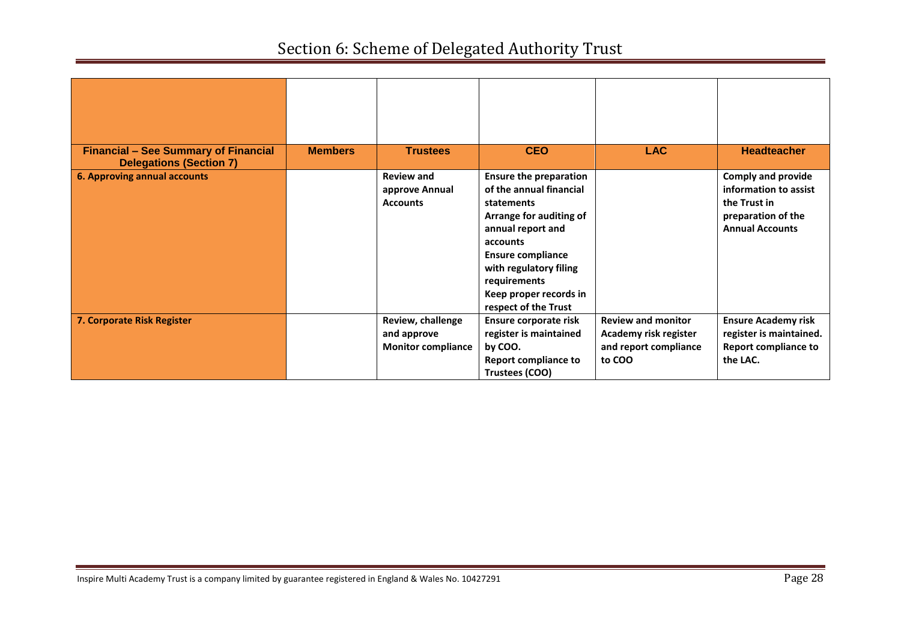| <b>Financial - See Summary of Financial</b><br><b>Delegations (Section 7)</b> | <b>Members</b> | <b>Trustees</b>                                               | <b>CEO</b>                                                                                                                                                                                                                                                 | <b>LAC</b>                                                                            | <b>Headteacher</b>                                                                                                 |
|-------------------------------------------------------------------------------|----------------|---------------------------------------------------------------|------------------------------------------------------------------------------------------------------------------------------------------------------------------------------------------------------------------------------------------------------------|---------------------------------------------------------------------------------------|--------------------------------------------------------------------------------------------------------------------|
| <b>6. Approving annual accounts</b>                                           |                | <b>Review and</b><br>approve Annual<br><b>Accounts</b>        | <b>Ensure the preparation</b><br>of the annual financial<br>statements<br>Arrange for auditing of<br>annual report and<br>accounts<br><b>Ensure compliance</b><br>with regulatory filing<br>requirements<br>Keep proper records in<br>respect of the Trust |                                                                                       | <b>Comply and provide</b><br>information to assist<br>the Trust in<br>preparation of the<br><b>Annual Accounts</b> |
| 7. Corporate Risk Register                                                    |                | Review, challenge<br>and approve<br><b>Monitor compliance</b> | Ensure corporate risk<br>register is maintained<br>by COO.<br><b>Report compliance to</b><br>Trustees (COO)                                                                                                                                                | <b>Review and monitor</b><br>Academy risk register<br>and report compliance<br>to COO | <b>Ensure Academy risk</b><br>register is maintained.<br><b>Report compliance to</b><br>the LAC.                   |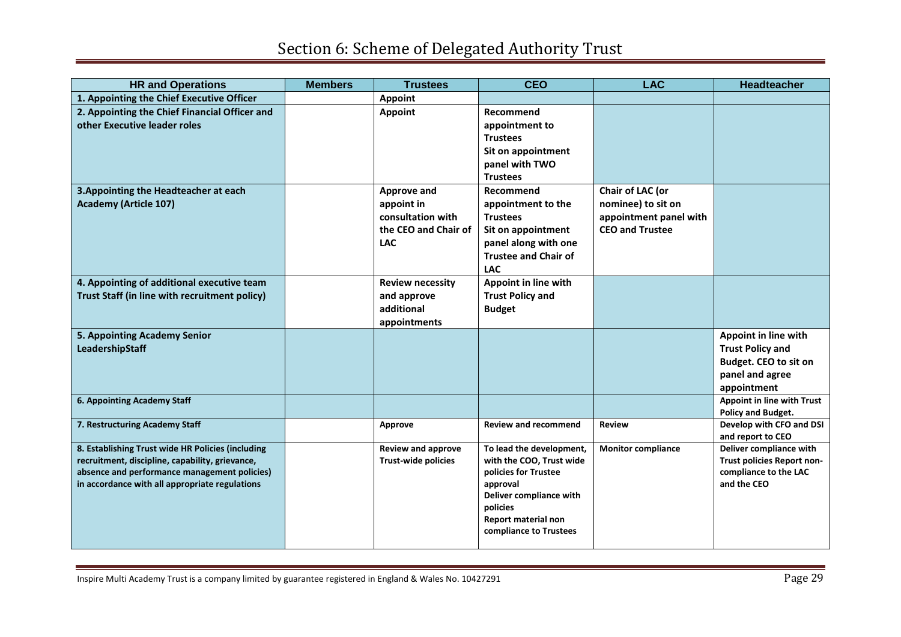| <b>HR and Operations</b>                                                                             | <b>Members</b> | <b>Trustees</b>                                         | <b>CEO</b>                                           | <b>LAC</b>                | <b>Headteacher</b>                                    |
|------------------------------------------------------------------------------------------------------|----------------|---------------------------------------------------------|------------------------------------------------------|---------------------------|-------------------------------------------------------|
| 1. Appointing the Chief Executive Officer                                                            |                | <b>Appoint</b>                                          |                                                      |                           |                                                       |
| 2. Appointing the Chief Financial Officer and                                                        |                | <b>Appoint</b>                                          | Recommend                                            |                           |                                                       |
| other Executive leader roles                                                                         |                |                                                         | appointment to                                       |                           |                                                       |
|                                                                                                      |                |                                                         | <b>Trustees</b>                                      |                           |                                                       |
|                                                                                                      |                |                                                         | Sit on appointment                                   |                           |                                                       |
|                                                                                                      |                |                                                         | panel with TWO                                       |                           |                                                       |
|                                                                                                      |                |                                                         | <b>Trustees</b>                                      |                           |                                                       |
| 3. Appointing the Headteacher at each                                                                |                | Approve and                                             | Recommend                                            | Chair of LAC (or          |                                                       |
| <b>Academy (Article 107)</b>                                                                         |                | appoint in                                              | appointment to the                                   | nominee) to sit on        |                                                       |
|                                                                                                      |                | consultation with                                       | <b>Trustees</b>                                      | appointment panel with    |                                                       |
|                                                                                                      |                | the CEO and Chair of                                    | Sit on appointment                                   | <b>CEO and Trustee</b>    |                                                       |
|                                                                                                      |                | <b>LAC</b>                                              | panel along with one                                 |                           |                                                       |
|                                                                                                      |                |                                                         | <b>Trustee and Chair of</b>                          |                           |                                                       |
|                                                                                                      |                |                                                         | <b>LAC</b>                                           |                           |                                                       |
| 4. Appointing of additional executive team                                                           |                | <b>Review necessity</b>                                 | Appoint in line with                                 |                           |                                                       |
| Trust Staff (in line with recruitment policy)                                                        |                | and approve                                             | <b>Trust Policy and</b>                              |                           |                                                       |
|                                                                                                      |                | additional                                              | <b>Budget</b>                                        |                           |                                                       |
|                                                                                                      |                | appointments                                            |                                                      |                           |                                                       |
| 5. Appointing Academy Senior                                                                         |                |                                                         |                                                      |                           | Appoint in line with                                  |
| LeadershipStaff                                                                                      |                |                                                         |                                                      |                           | <b>Trust Policy and</b>                               |
|                                                                                                      |                |                                                         |                                                      |                           | Budget. CEO to sit on                                 |
|                                                                                                      |                |                                                         |                                                      |                           | panel and agree                                       |
|                                                                                                      |                |                                                         |                                                      |                           | appointment                                           |
| 6. Appointing Academy Staff                                                                          |                |                                                         |                                                      |                           | Appoint in line with Trust                            |
|                                                                                                      |                |                                                         |                                                      |                           | Policy and Budget.                                    |
| 7. Restructuring Academy Staff                                                                       |                | Approve                                                 | <b>Review and recommend</b>                          | <b>Review</b>             | Develop with CFO and DSI                              |
|                                                                                                      |                |                                                         |                                                      |                           | and report to CEO                                     |
| 8. Establishing Trust wide HR Policies (including<br>recruitment, discipline, capability, grievance, |                | <b>Review and approve</b><br><b>Trust-wide policies</b> | To lead the development,<br>with the COO, Trust wide | <b>Monitor compliance</b> | Deliver compliance with<br>Trust policies Report non- |
| absence and performance management policies)                                                         |                |                                                         | policies for Trustee                                 |                           | compliance to the LAC                                 |
| in accordance with all appropriate regulations                                                       |                |                                                         | approval                                             |                           | and the CEO                                           |
|                                                                                                      |                |                                                         | Deliver compliance with                              |                           |                                                       |
|                                                                                                      |                |                                                         | policies                                             |                           |                                                       |
|                                                                                                      |                |                                                         | Report material non                                  |                           |                                                       |
|                                                                                                      |                |                                                         | compliance to Trustees                               |                           |                                                       |
|                                                                                                      |                |                                                         |                                                      |                           |                                                       |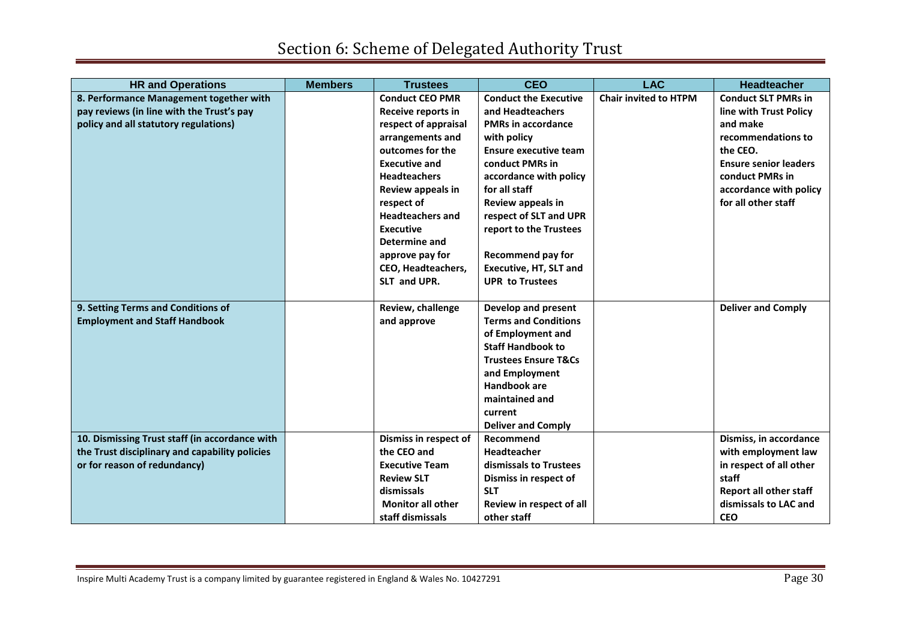| <b>HR and Operations</b>                       | <b>Members</b> | <b>Trustees</b>           | <b>CEO</b>                                    | <b>LAC</b>                   | <b>Headteacher</b>            |
|------------------------------------------------|----------------|---------------------------|-----------------------------------------------|------------------------------|-------------------------------|
| 8. Performance Management together with        |                | <b>Conduct CEO PMR</b>    | <b>Conduct the Executive</b>                  | <b>Chair invited to HTPM</b> | <b>Conduct SLT PMRs in</b>    |
| pay reviews (in line with the Trust's pay      |                | Receive reports in        | and Headteachers                              |                              | line with Trust Policy        |
| policy and all statutory regulations)          |                | respect of appraisal      | <b>PMRs in accordance</b>                     |                              | and make                      |
|                                                |                | arrangements and          | with policy                                   |                              | recommendations to            |
|                                                |                | outcomes for the          | <b>Ensure executive team</b>                  |                              | the CEO.                      |
|                                                |                | <b>Executive and</b>      | conduct PMRs in                               |                              | <b>Ensure senior leaders</b>  |
|                                                |                | <b>Headteachers</b>       | accordance with policy                        |                              | conduct PMRs in               |
|                                                |                | Review appeals in         | for all staff                                 |                              | accordance with policy        |
|                                                |                | respect of                | Review appeals in                             |                              | for all other staff           |
|                                                |                | <b>Headteachers and</b>   | respect of SLT and UPR                        |                              |                               |
|                                                |                | <b>Executive</b>          | report to the Trustees                        |                              |                               |
|                                                |                | Determine and             |                                               |                              |                               |
|                                                |                | approve pay for           | <b>Recommend pay for</b>                      |                              |                               |
|                                                |                | <b>CEO, Headteachers,</b> | <b>Executive, HT, SLT and</b>                 |                              |                               |
|                                                |                | SLT and UPR.              | <b>UPR to Trustees</b>                        |                              |                               |
|                                                |                |                           |                                               |                              |                               |
| 9. Setting Terms and Conditions of             |                | Review, challenge         | Develop and present                           |                              | <b>Deliver and Comply</b>     |
| <b>Employment and Staff Handbook</b>           |                | and approve               | <b>Terms and Conditions</b>                   |                              |                               |
|                                                |                |                           | of Employment and<br><b>Staff Handbook to</b> |                              |                               |
|                                                |                |                           | <b>Trustees Ensure T&amp;Cs</b>               |                              |                               |
|                                                |                |                           | and Employment                                |                              |                               |
|                                                |                |                           | <b>Handbook are</b>                           |                              |                               |
|                                                |                |                           | maintained and                                |                              |                               |
|                                                |                |                           | current                                       |                              |                               |
|                                                |                |                           | <b>Deliver and Comply</b>                     |                              |                               |
| 10. Dismissing Trust staff (in accordance with |                | Dismiss in respect of     | Recommend                                     |                              | Dismiss, in accordance        |
| the Trust disciplinary and capability policies |                | the CEO and               | Headteacher                                   |                              | with employment law           |
| or for reason of redundancy)                   |                | <b>Executive Team</b>     | dismissals to Trustees                        |                              | in respect of all other       |
|                                                |                | <b>Review SLT</b>         | Dismiss in respect of                         |                              | staff                         |
|                                                |                | dismissals                | <b>SLT</b>                                    |                              | <b>Report all other staff</b> |
|                                                |                | <b>Monitor all other</b>  | Review in respect of all                      |                              | dismissals to LAC and         |
|                                                |                | staff dismissals          | other staff                                   |                              | <b>CEO</b>                    |